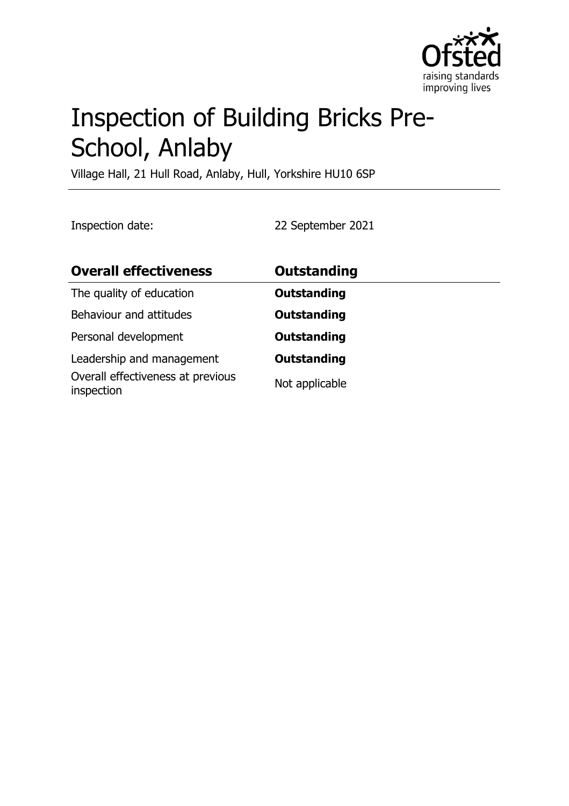

# Inspection of Building Bricks Pre-School, Anlaby

Village Hall, 21 Hull Road, Anlaby, Hull, Yorkshire HU10 6SP

Inspection date: 22 September 2021

| <b>Overall effectiveness</b>                    | <b>Outstanding</b> |
|-------------------------------------------------|--------------------|
| The quality of education                        | <b>Outstanding</b> |
| Behaviour and attitudes                         | <b>Outstanding</b> |
| Personal development                            | <b>Outstanding</b> |
| Leadership and management                       | <b>Outstanding</b> |
| Overall effectiveness at previous<br>inspection | Not applicable     |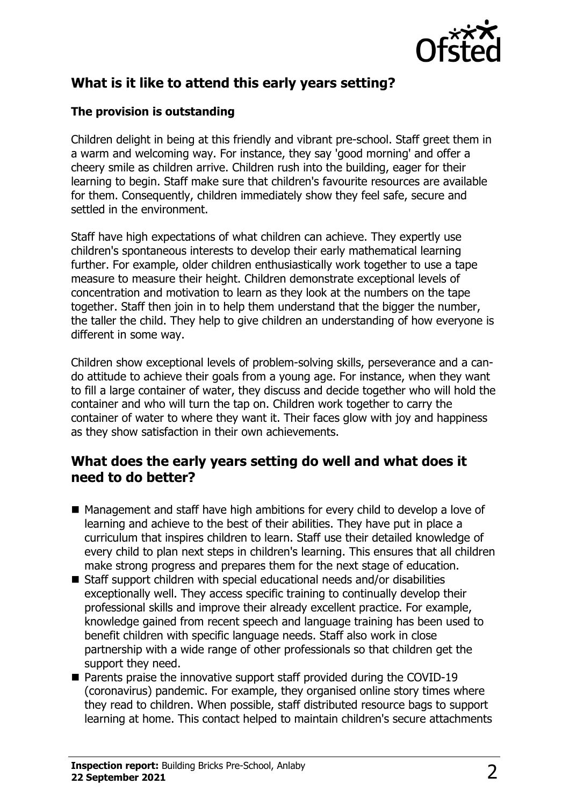

## **What is it like to attend this early years setting?**

#### **The provision is outstanding**

Children delight in being at this friendly and vibrant pre-school. Staff greet them in a warm and welcoming way. For instance, they say 'good morning' and offer a cheery smile as children arrive. Children rush into the building, eager for their learning to begin. Staff make sure that children's favourite resources are available for them. Consequently, children immediately show they feel safe, secure and settled in the environment.

Staff have high expectations of what children can achieve. They expertly use children's spontaneous interests to develop their early mathematical learning further. For example, older children enthusiastically work together to use a tape measure to measure their height. Children demonstrate exceptional levels of concentration and motivation to learn as they look at the numbers on the tape together. Staff then join in to help them understand that the bigger the number, the taller the child. They help to give children an understanding of how everyone is different in some way.

Children show exceptional levels of problem-solving skills, perseverance and a cando attitude to achieve their goals from a young age. For instance, when they want to fill a large container of water, they discuss and decide together who will hold the container and who will turn the tap on. Children work together to carry the container of water to where they want it. Their faces glow with joy and happiness as they show satisfaction in their own achievements.

### **What does the early years setting do well and what does it need to do better?**

- $\blacksquare$  Management and staff have high ambitions for every child to develop a love of learning and achieve to the best of their abilities. They have put in place a curriculum that inspires children to learn. Staff use their detailed knowledge of every child to plan next steps in children's learning. This ensures that all children make strong progress and prepares them for the next stage of education.
- Staff support children with special educational needs and/or disabilities exceptionally well. They access specific training to continually develop their professional skills and improve their already excellent practice. For example, knowledge gained from recent speech and language training has been used to benefit children with specific language needs. Staff also work in close partnership with a wide range of other professionals so that children get the support they need.
- $\blacksquare$  Parents praise the innovative support staff provided during the COVID-19 (coronavirus) pandemic. For example, they organised online story times where they read to children. When possible, staff distributed resource bags to support learning at home. This contact helped to maintain children's secure attachments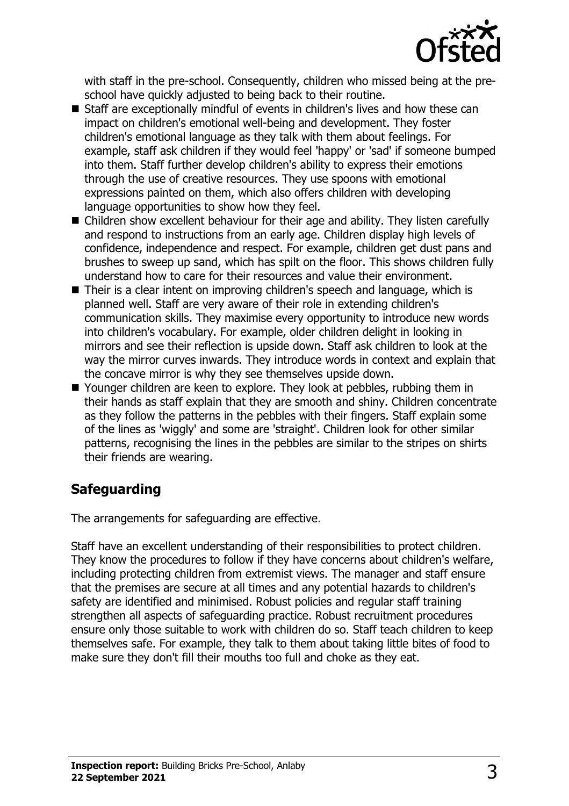

with staff in the pre-school. Consequently, children who missed being at the preschool have quickly adjusted to being back to their routine.

- Staff are exceptionally mindful of events in children's lives and how these can impact on children's emotional well-being and development. They foster children's emotional language as they talk with them about feelings. For example, staff ask children if they would feel 'happy' or 'sad' if someone bumped into them. Staff further develop children's ability to express their emotions through the use of creative resources. They use spoons with emotional expressions painted on them, which also offers children with developing language opportunities to show how they feel.
- $\blacksquare$  Children show excellent behaviour for their age and ability. They listen carefully and respond to instructions from an early age. Children display high levels of confidence, independence and respect. For example, children get dust pans and brushes to sweep up sand, which has spilt on the floor. This shows children fully understand how to care for their resources and value their environment.
- Their is a clear intent on improving children's speech and language, which is planned well. Staff are very aware of their role in extending children's communication skills. They maximise every opportunity to introduce new words into children's vocabulary. For example, older children delight in looking in mirrors and see their reflection is upside down. Staff ask children to look at the way the mirror curves inwards. They introduce words in context and explain that the concave mirror is why they see themselves upside down.
- Younger children are keen to explore. They look at pebbles, rubbing them in their hands as staff explain that they are smooth and shiny. Children concentrate as they follow the patterns in the pebbles with their fingers. Staff explain some of the lines as 'wiggly' and some are 'straight'. Children look for other similar patterns, recognising the lines in the pebbles are similar to the stripes on shirts their friends are wearing.

# **Safeguarding**

The arrangements for safeguarding are effective.

Staff have an excellent understanding of their responsibilities to protect children. They know the procedures to follow if they have concerns about children's welfare, including protecting children from extremist views. The manager and staff ensure that the premises are secure at all times and any potential hazards to children's safety are identified and minimised. Robust policies and regular staff training strengthen all aspects of safeguarding practice. Robust recruitment procedures ensure only those suitable to work with children do so. Staff teach children to keep themselves safe. For example, they talk to them about taking little bites of food to make sure they don't fill their mouths too full and choke as they eat.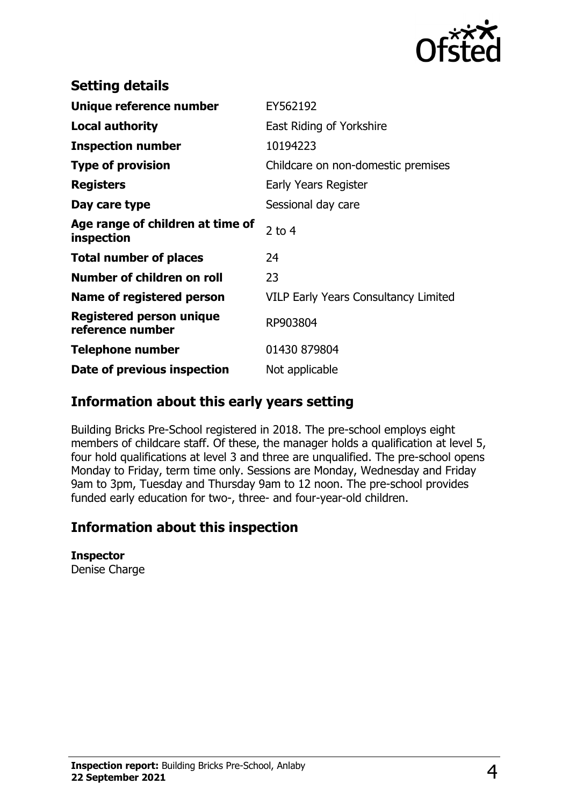

| <b>Setting details</b>                         |                                             |
|------------------------------------------------|---------------------------------------------|
| Unique reference number                        | EY562192                                    |
| Local authority                                | East Riding of Yorkshire                    |
| <b>Inspection number</b>                       | 10194223                                    |
| <b>Type of provision</b>                       | Childcare on non-domestic premises          |
| <b>Registers</b>                               | Early Years Register                        |
| Day care type                                  | Sessional day care                          |
| Age range of children at time of<br>inspection | 2 to $4$                                    |
| <b>Total number of places</b>                  | 24                                          |
| Number of children on roll                     | 23                                          |
| Name of registered person                      | <b>VILP Early Years Consultancy Limited</b> |
| Registered person unique<br>reference number   | RP903804                                    |
| <b>Telephone number</b>                        | 01430 879804                                |
| Date of previous inspection                    | Not applicable                              |

## **Information about this early years setting**

Building Bricks Pre-School registered in 2018. The pre-school employs eight members of childcare staff. Of these, the manager holds a qualification at level 5, four hold qualifications at level 3 and three are unqualified. The pre-school opens Monday to Friday, term time only. Sessions are Monday, Wednesday and Friday 9am to 3pm, Tuesday and Thursday 9am to 12 noon. The pre-school provides funded early education for two-, three- and four-year-old children.

## **Information about this inspection**

**Inspector** Denise Charge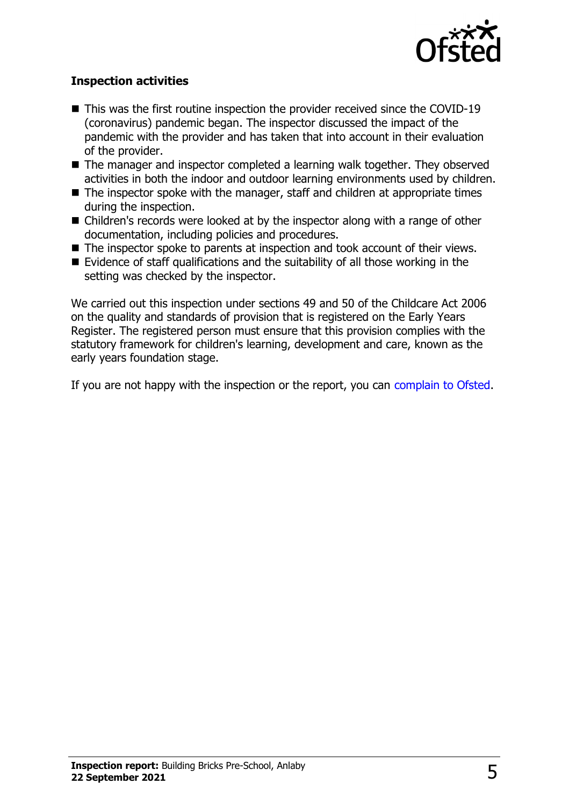

#### **Inspection activities**

- $\blacksquare$  This was the first routine inspection the provider received since the COVID-19 (coronavirus) pandemic began. The inspector discussed the impact of the pandemic with the provider and has taken that into account in their evaluation of the provider.
- $\blacksquare$  The manager and inspector completed a learning walk together. They observed activities in both the indoor and outdoor learning environments used by children.
- $\blacksquare$  The inspector spoke with the manager, staff and children at appropriate times during the inspection.
- Children's records were looked at by the inspector along with a range of other documentation, including policies and procedures.
- $\blacksquare$  The inspector spoke to parents at inspection and took account of their views.
- Evidence of staff qualifications and the suitability of all those working in the setting was checked by the inspector.

We carried out this inspection under sections 49 and 50 of the Childcare Act 2006 on the quality and standards of provision that is registered on the Early Years Register. The registered person must ensure that this provision complies with the statutory framework for children's learning, development and care, known as the early years foundation stage.

If you are not happy with the inspection or the report, you can [complain to Ofsted](http://www.gov.uk/complain-ofsted-report).